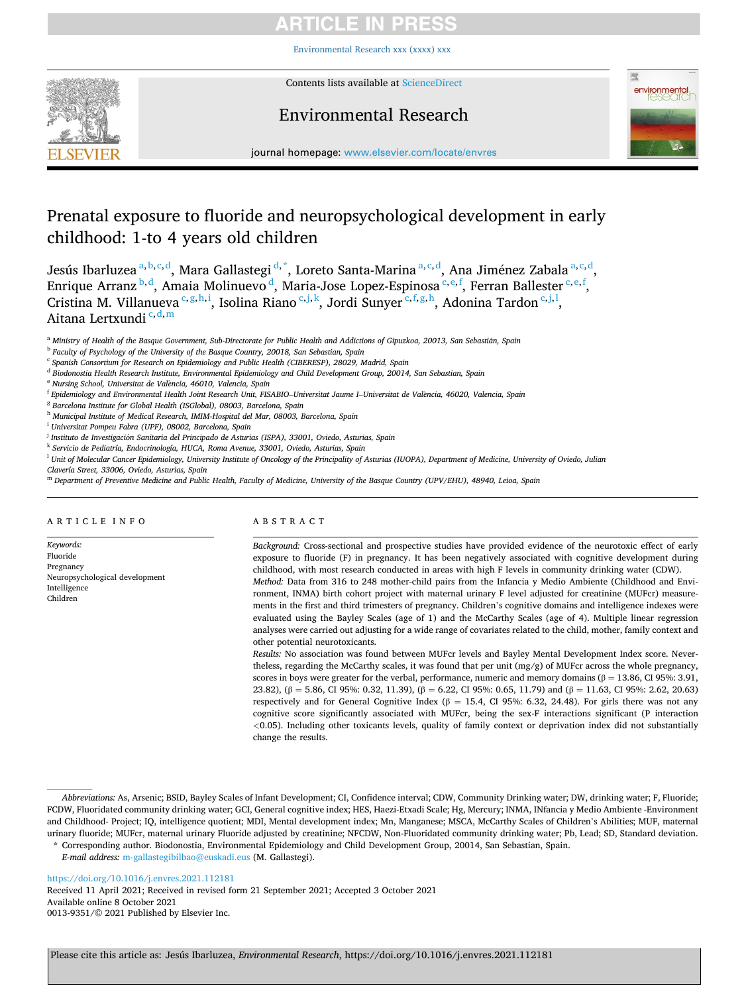# RTICI E IN PRE

[Environmental Research xxx \(xxxx\) xxx](https://doi.org/10.1016/j.envres.2021.112181)



Contents lists available at [ScienceDirect](www.sciencedirect.com/science/journal/00139351)

# Environmental Research



journal homepage: [www.elsevier.com/locate/envres](https://www.elsevier.com/locate/envres) 

# Prenatal exposure to fluoride and neuropsychological development in early childhood: 1-to 4 years old children

Jesús Ibarluzea <sup>a, b, c, d</sup>, Mara Gallastegi <sup>d,\*</sup>, Loreto Santa-Marina <sup>a, c, d</sup>, Ana Jiménez Zabala <sup>a, c, d</sup>, Enrique Arranz <sup>b, d</sup>, Amaia Molinuevo <sup>d</sup>, Maria-Jose Lopez-Espinosa <sup>c, e, f</sup>, Ferran Ballester <sup>c, e, f</sup>, Cristina M. Villanueva <sup>c,g,h,i</sup>, Isolina Riano <sup>c,j,k</sup>, Jordi Sunyer <sup>c,f,g,h</sup>, Adonina Tardon <sup>c,j,l</sup>, Aitana Lertxundi<sup>c, d, m</sup>

<sup>a</sup> Ministry of Health of the Basque Government, Sub-Directorate for Public Health and Addictions of Gipuzkoa, 20013, San Sebastián, Spain

- <sup>e</sup> *Nursing School, Universitat de Val*`*encia, 46010, Valencia, Spain*
- <sup>f</sup> *Epidemiology and Environmental Health Joint Research Unit, FISABIO*–*Universitat Jaume I*–*Universitat de Val*`*encia, 46020, Valencia, Spain*
- <sup>g</sup> *Barcelona Institute for Global Health (ISGlobal), 08003, Barcelona, Spain*
- <sup>h</sup> *Municipal Institute of Medical Research, IMIM-Hospital del Mar, 08003, Barcelona, Spain*
- <sup>i</sup> *Universitat Pompeu Fabra (UPF), 08002, Barcelona, Spain*
- <sup>j</sup> Instituto de Investigación Sanitaria del Principado de Asturias (ISPA), 33001, Oviedo, Asturias, Spain
- <sup>k</sup> *Servicio de Pediatría, Endocrinología, HUCA, Roma Avenue, 33001, Oviedo, Asturias, Spain*
- <sup>l</sup> *Unit of Molecular Cancer Epidemiology, University Institute of Oncology of the Principality of Asturias (IUOPA), Department of Medicine, University of Oviedo, Julian*
- *Clavería Street, 33006, Oviedo, Asturias, Spain*
- <sup>m</sup> *Department of Preventive Medicine and Public Health, Faculty of Medicine, University of the Basque Country (UPV/EHU), 48940, Leioa, Spain*

### ARTICLE INFO

*Keywords:*  Fluoride Pregnancy Neuropsychological development Intelligence Children

### ABSTRACT

*Background:* Cross-sectional and prospective studies have provided evidence of the neurotoxic effect of early exposure to fluoride (F) in pregnancy. It has been negatively associated with cognitive development during childhood, with most research conducted in areas with high F levels in community drinking water (CDW). *Method:* Data from 316 to 248 mother-child pairs from the Infancia y Medio Ambiente (Childhood and Environment, INMA) birth cohort project with maternal urinary F level adjusted for creatinine (MUFcr) measurements in the first and third trimesters of pregnancy. Children's cognitive domains and intelligence indexes were evaluated using the Bayley Scales (age of 1) and the McCarthy Scales (age of 4). Multiple linear regression analyses were carried out adjusting for a wide range of covariates related to the child, mother, family context and other potential neurotoxicants.

*Results:* No association was found between MUFcr levels and Bayley Mental Development Index score. Nevertheless, regarding the McCarthy scales, it was found that per unit (mg/g) of MUFcr across the whole pregnancy, scores in boys were greater for the verbal, performance, numeric and memory domains ( $\beta = 13.86$ , CI 95%: 3.91, 23.82),  $(\beta = 5.86, C195\% : 0.32, 11.39)$ ,  $(\beta = 6.22, C195\% : 0.65, 11.79)$  and  $(\beta = 11.63, C195\% : 2.62, 20.63)$ respectively and for General Cognitive Index ( $\beta = 15.4$ , CI 95%: 6.32, 24.48). For girls there was not any cognitive score significantly associated with MUFcr, being the sex-F interactions significant (P interaction *<*0.05). Including other toxicants levels, quality of family context or deprivation index did not substantially change the results.

<https://doi.org/10.1016/j.envres.2021.112181>

Available online 8 October 2021 0013-9351/© 2021 Published by Elsevier Inc. Received 11 April 2021; Received in revised form 21 September 2021; Accepted 3 October 2021

<sup>b</sup> *Faculty of Psychology of the University of the Basque Country, 20018, San Sebastian, Spain* 

<sup>c</sup> *Spanish Consortium for Research on Epidemiology and Public Health (CIBERESP), 28029, Madrid, Spain* 

<sup>d</sup> *Biodonostia Health Research Institute, Environmental Epidemiology and Child Development Group, 20014, San Sebastian, Spain* 

*Abbreviations:* As, Arsenic; BSID, Bayley Scales of Infant Development; CI, Confidence interval; CDW, Community Drinking water; DW, drinking water; F, Fluoride; FCDW, Fluoridated community drinking water; GCI, General cognitive index; HES, Haezi-Etxadi Scale; Hg, Mercury; INMA, INfancia y Medio Ambiente -Environment and Childhood- Project; IQ, intelligence quotient; MDI, Mental development index; Mn, Manganese; MSCA, McCarthy Scales of Children's Abilities; MUF, maternal urinary fluoride; MUFcr, maternal urinary Fluoride adjusted by creatinine; NFCDW, Non-Fluoridated community drinking water; Pb, Lead; SD, Standard deviation. \* Corresponding author. Biodonostia, Environmental Epidemiology and Child Development Group, 20014, San Sebastian, Spain.

*E-mail address:* [m-gallastegibilbao@euskadi.eus](mailto:m-gallastegibilbao@euskadi.eus) (M. Gallastegi).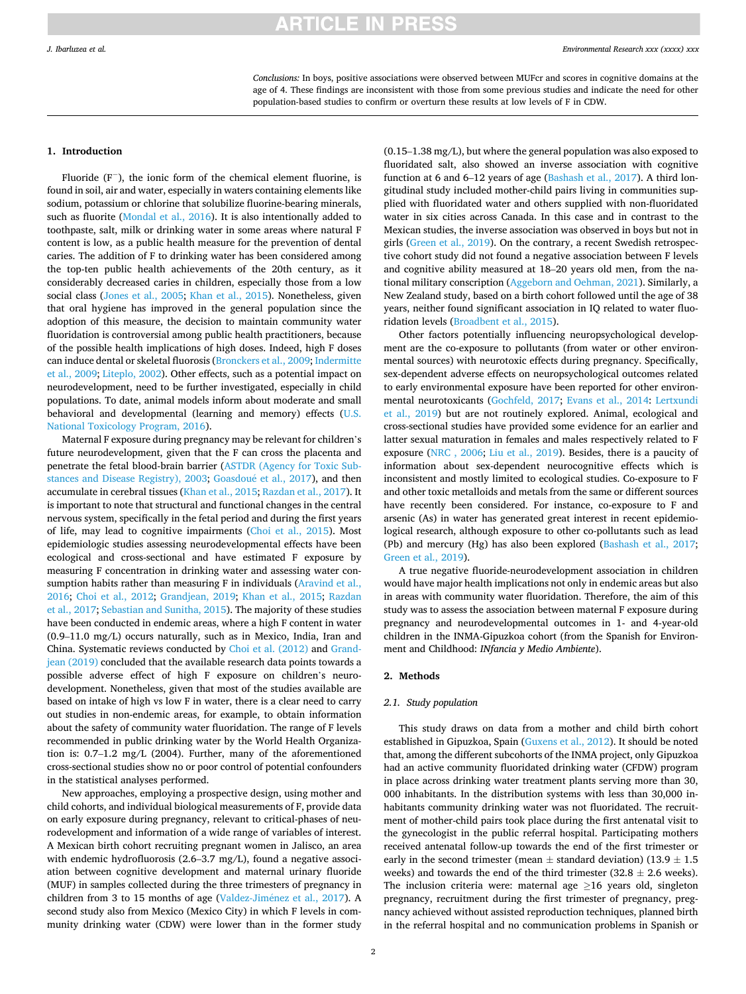*Conclusions:* In boys, positive associations were observed between MUFcr and scores in cognitive domains at the age of 4. These findings are inconsistent with those from some previous studies and indicate the need for other population-based studies to confirm or overturn these results at low levels of F in CDW.

### **1. Introduction**

Fluoride (F<sup>−</sup> ), the ionic form of the chemical element fluorine, is found in soil, air and water, especially in waters containing elements like sodium, potassium or chlorine that solubilize fluorine-bearing minerals, such as fluorite [\(Mondal et al., 2016\)](#page-9-0). It is also intentionally added to toothpaste, salt, milk or drinking water in some areas where natural F content is low, as a public health measure for the prevention of dental caries. The addition of F to drinking water has been considered among the top-ten public health achievements of the 20th century, as it considerably decreased caries in children, especially those from a low social class ([Jones et al., 2005;](#page-9-0) [Khan et al., 2015\)](#page-9-0). Nonetheless, given that oral hygiene has improved in the general population since the adoption of this measure, the decision to maintain community water fluoridation is controversial among public health practitioners, because of the possible health implications of high doses. Indeed, high F doses can induce dental or skeletal fluorosis [\(Bronckers et al., 2009; Indermitte](#page-8-0)  [et al., 2009;](#page-8-0) [Liteplo, 2002\)](#page-9-0). Other effects, such as a potential impact on neurodevelopment, need to be further investigated, especially in child populations. To date, animal models inform about moderate and small behavioral and developmental (learning and memory) effects [\(U.S.](#page-9-0)  [National Toxicology Program, 2016](#page-9-0)).

Maternal F exposure during pregnancy may be relevant for children's future neurodevelopment, given that the F can cross the placenta and penetrate the fetal blood-brain barrier [\(ASTDR \(Agency for Toxic Sub](#page-8-0)[stances and Disease Registry\), 2003;](#page-8-0) Goasdoué et al., 2017), and then accumulate in cerebral tissues ([Khan et al., 2015; Razdan et al., 2017](#page-9-0)). It is important to note that structural and functional changes in the central nervous system, specifically in the fetal period and during the first years of life, may lead to cognitive impairments [\(Choi et al., 2015\)](#page-8-0). Most epidemiologic studies assessing neurodevelopmental effects have been ecological and cross-sectional and have estimated F exposure by measuring F concentration in drinking water and assessing water consumption habits rather than measuring F in individuals [\(Aravind et al.,](#page-8-0)  [2016;](#page-8-0) [Choi et al., 2012;](#page-8-0) [Grandjean, 2019](#page-8-0); [Khan et al., 2015](#page-9-0); [Razdan](#page-9-0)  [et al., 2017](#page-9-0); [Sebastian and Sunitha, 2015\)](#page-9-0). The majority of these studies have been conducted in endemic areas, where a high F content in water (0.9–11.0 mg/L) occurs naturally, such as in Mexico, India, Iran and China. Systematic reviews conducted by [Choi et al. \(2012\)](#page-8-0) and [Grand](#page-8-0)[jean \(2019\)](#page-8-0) concluded that the available research data points towards a possible adverse effect of high F exposure on children's neurodevelopment. Nonetheless, given that most of the studies available are based on intake of high vs low F in water, there is a clear need to carry out studies in non-endemic areas, for example, to obtain information about the safety of community water fluoridation. The range of F levels recommended in public drinking water by the World Health Organization is: 0.7–1.2 mg/L (2004). Further, many of the aforementioned cross-sectional studies show no or poor control of potential confounders in the statistical analyses performed.

New approaches, employing a prospective design, using mother and child cohorts, and individual biological measurements of F, provide data on early exposure during pregnancy, relevant to critical-phases of neurodevelopment and information of a wide range of variables of interest. A Mexican birth cohort recruiting pregnant women in Jalisco, an area with endemic hydrofluorosis (2.6–3.7 mg/L), found a negative association between cognitive development and maternal urinary fluoride (MUF) in samples collected during the three trimesters of pregnancy in children from 3 to 15 months of age (Valdez-Jiménez et al., 2017). A second study also from Mexico (Mexico City) in which F levels in community drinking water (CDW) were lower than in the former study

(0.15–1.38 mg/L), but where the general population was also exposed to fluoridated salt, also showed an inverse association with cognitive function at 6 and 6–12 years of age ([Bashash et al., 2017\)](#page-8-0). A third longitudinal study included mother-child pairs living in communities supplied with fluoridated water and others supplied with non-fluoridated water in six cities across Canada. In this case and in contrast to the Mexican studies, the inverse association was observed in boys but not in girls [\(Green et al., 2019](#page-8-0)). On the contrary, a recent Swedish retrospective cohort study did not found a negative association between F levels and cognitive ability measured at 18–20 years old men, from the national military conscription [\(Aggeborn and Oehman, 2021](#page-8-0)). Similarly, a New Zealand study, based on a birth cohort followed until the age of 38 years, neither found significant association in IQ related to water fluoridation levels [\(Broadbent et al., 2015](#page-8-0)).

Other factors potentially influencing neuropsychological development are the co-exposure to pollutants (from water or other environmental sources) with neurotoxic effects during pregnancy. Specifically, sex-dependent adverse effects on neuropsychological outcomes related to early environmental exposure have been reported for other environmental neurotoxicants [\(Gochfeld, 2017](#page-8-0); [Evans et al., 2014](#page-8-0): [Lertxundi](#page-9-0)  [et al., 2019](#page-9-0)) but are not routinely explored. Animal, ecological and cross-sectional studies have provided some evidence for an earlier and latter sexual maturation in females and males respectively related to F exposure ([NRC , 2006;](#page-9-0) [Liu et al., 2019](#page-9-0)). Besides, there is a paucity of information about sex-dependent neurocognitive effects which is inconsistent and mostly limited to ecological studies. Co-exposure to F and other toxic metalloids and metals from the same or different sources have recently been considered. For instance, co-exposure to F and arsenic (As) in water has generated great interest in recent epidemiological research, although exposure to other co-pollutants such as lead (Pb) and mercury (Hg) has also been explored ([Bashash et al., 2017](#page-8-0); [Green et al., 2019](#page-8-0)).

A true negative fluoride-neurodevelopment association in children would have major health implications not only in endemic areas but also in areas with community water fluoridation. Therefore, the aim of this study was to assess the association between maternal F exposure during pregnancy and neurodevelopmental outcomes in 1- and 4-year-old children in the INMA-Gipuzkoa cohort (from the Spanish for Environment and Childhood: *INfancia y Medio Ambiente*).

### **2. Methods**

### *2.1. Study population*

This study draws on data from a mother and child birth cohort established in Gipuzkoa, Spain [\(Guxens et al., 2012\)](#page-8-0). It should be noted that, among the different subcohorts of the INMA project, only Gipuzkoa had an active community fluoridated drinking water (CFDW) program in place across drinking water treatment plants serving more than 30, 000 inhabitants. In the distribution systems with less than 30,000 inhabitants community drinking water was not fluoridated. The recruitment of mother-child pairs took place during the first antenatal visit to the gynecologist in the public referral hospital. Participating mothers received antenatal follow-up towards the end of the first trimester or early in the second trimester (mean  $\pm$  standard deviation) (13.9  $\pm$  1.5 weeks) and towards the end of the third trimester (32.8  $\pm$  2.6 weeks). The inclusion criteria were: maternal age  $\geq 16$  years old, singleton pregnancy, recruitment during the first trimester of pregnancy, pregnancy achieved without assisted reproduction techniques, planned birth in the referral hospital and no communication problems in Spanish or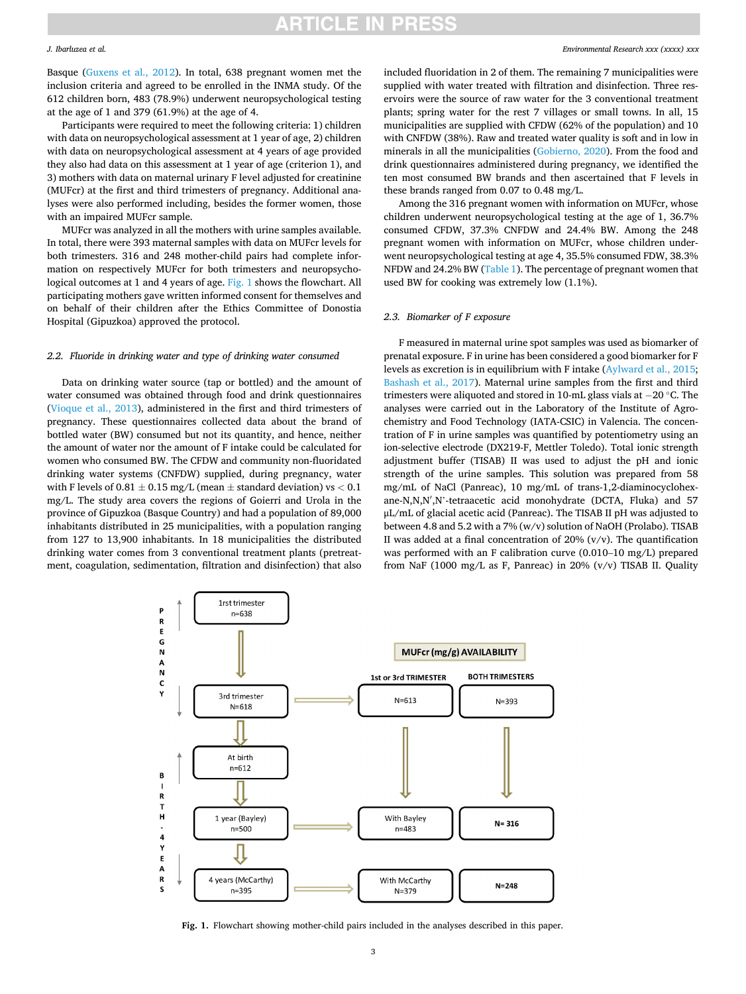### <span id="page-2-0"></span>*J. Ibarluzea et al.*

Basque ([Guxens et al., 2012\)](#page-8-0). In total, 638 pregnant women met the inclusion criteria and agreed to be enrolled in the INMA study. Of the 612 children born, 483 (78.9%) underwent neuropsychological testing at the age of 1 and 379 (61.9%) at the age of 4.

Participants were required to meet the following criteria: 1) children with data on neuropsychological assessment at 1 year of age, 2) children with data on neuropsychological assessment at 4 years of age provided they also had data on this assessment at 1 year of age (criterion 1), and 3) mothers with data on maternal urinary F level adjusted for creatinine (MUFcr) at the first and third trimesters of pregnancy. Additional analyses were also performed including, besides the former women, those with an impaired MUFcr sample.

MUFcr was analyzed in all the mothers with urine samples available. In total, there were 393 maternal samples with data on MUFcr levels for both trimesters. 316 and 248 mother-child pairs had complete information on respectively MUFcr for both trimesters and neuropsychological outcomes at 1 and 4 years of age. Fig. 1 shows the flowchart. All participating mothers gave written informed consent for themselves and on behalf of their children after the Ethics Committee of Donostia Hospital (Gipuzkoa) approved the protocol.

### *2.2. Fluoride in drinking water and type of drinking water consumed*

Data on drinking water source (tap or bottled) and the amount of water consumed was obtained through food and drink questionnaires ([Vioque et al., 2013\)](#page-9-0), administered in the first and third trimesters of pregnancy. These questionnaires collected data about the brand of bottled water (BW) consumed but not its quantity, and hence, neither the amount of water nor the amount of F intake could be calculated for women who consumed BW. The CFDW and community non-fluoridated drinking water systems (CNFDW) supplied, during pregnancy, water with F levels of  $0.81 \pm 0.15$  mg/L (mean  $\pm$  standard deviation) vs  $< 0.1$ mg/L. The study area covers the regions of Goierri and Urola in the province of Gipuzkoa (Basque Country) and had a population of 89,000 inhabitants distributed in 25 municipalities, with a population ranging from 127 to 13,900 inhabitants. In 18 municipalities the distributed drinking water comes from 3 conventional treatment plants (pretreatment, coagulation, sedimentation, filtration and disinfection) that also included fluoridation in 2 of them. The remaining 7 municipalities were supplied with water treated with filtration and disinfection. Three reservoirs were the source of raw water for the 3 conventional treatment plants; spring water for the rest 7 villages or small towns. In all, 15 municipalities are supplied with CFDW (62% of the population) and 10 with CNFDW (38%). Raw and treated water quality is soft and in low in minerals in all the municipalities ([Gobierno, 2020](#page-8-0)). From the food and drink questionnaires administered during pregnancy, we identified the ten most consumed BW brands and then ascertained that F levels in these brands ranged from 0.07 to 0.48 mg/L.

Among the 316 pregnant women with information on MUFcr, whose children underwent neuropsychological testing at the age of 1, 36.7% consumed CFDW, 37.3% CNFDW and 24.4% BW. Among the 248 pregnant women with information on MUFcr, whose children underwent neuropsychological testing at age 4, 35.5% consumed FDW, 38.3% NFDW and 24.2% BW [\(Table 1\)](#page-3-0). The percentage of pregnant women that used BW for cooking was extremely low (1.1%).

### *2.3. Biomarker of F exposure*

F measured in maternal urine spot samples was used as biomarker of prenatal exposure. F in urine has been considered a good biomarker for F levels as excretion is in equilibrium with F intake ([Aylward et al., 2015](#page-8-0); [Bashash et al., 2017](#page-8-0)). Maternal urine samples from the first and third trimesters were aliquoted and stored in 10-mL glass vials at − 20 ◦C. The analyses were carried out in the Laboratory of the Institute of Agrochemistry and Food Technology (IATA-CSIC) in Valencia. The concentration of F in urine samples was quantified by potentiometry using an ion-selective electrode (DX219-F, Mettler Toledo). Total ionic strength adjustment buffer (TISAB) II was used to adjust the pH and ionic strength of the urine samples. This solution was prepared from 58 mg/mL of NaCl (Panreac), 10 mg/mL of trans-1,2-diaminocyclohexane-N,N,N′ ,N'-tetraacetic acid monohydrate (DCTA, Fluka) and 57 μL/mL of glacial acetic acid (Panreac). The TISAB II pH was adjusted to between 4.8 and 5.2 with a 7% (w/v) solution of NaOH (Prolabo). TISAB II was added at a final concentration of  $20\%$  (v/v). The quantification was performed with an F calibration curve (0.010–10 mg/L) prepared from NaF (1000 mg/L as F, Panreac) in 20% ( $v/v$ ) TISAB II. Quality



**Fig. 1.** Flowchart showing mother-child pairs included in the analyses described in this paper.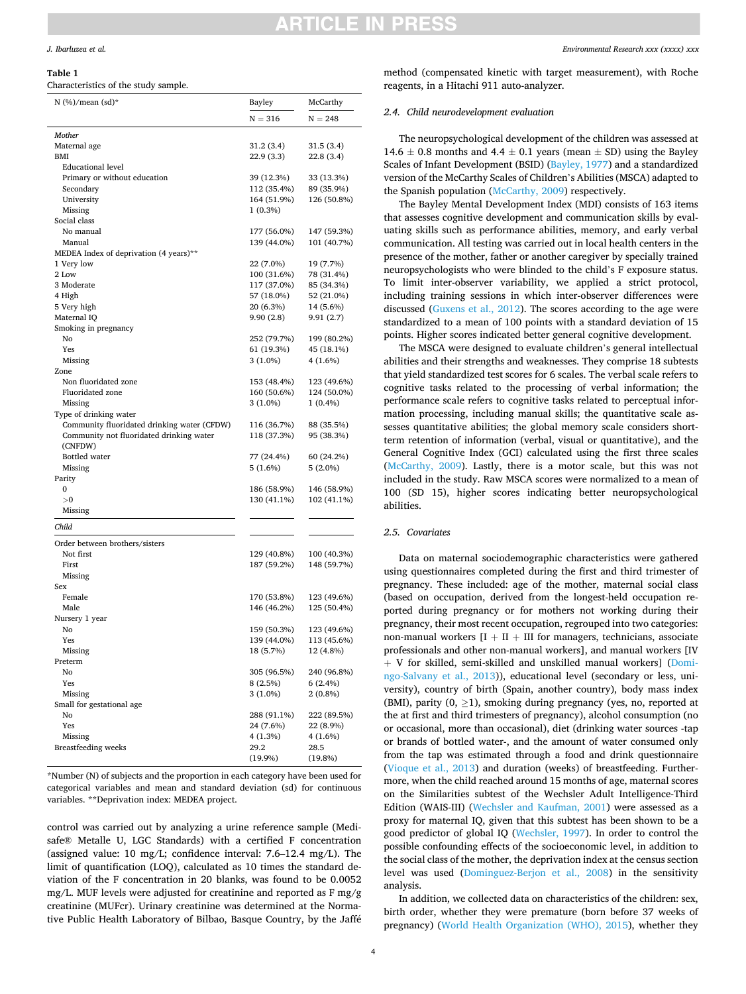# NCI E IN PRE

### <span id="page-3-0"></span>*J. Ibarluzea et al.*

#### **Table 1**

Characteristics of the study sample.

| N $(\%)$ /mean $\text{(sd)}^*$                                                          | Bayley                   | McCarthy                 |  |
|-----------------------------------------------------------------------------------------|--------------------------|--------------------------|--|
|                                                                                         | $N = 316$                | $N = 248$                |  |
| Mother                                                                                  |                          |                          |  |
| Maternal age                                                                            | 31.2 (3.4)               | 31.5 (3.4)               |  |
| BMI                                                                                     | 22.9 (3.3)               | 22.8 (3.4)               |  |
| <b>Educational level</b>                                                                |                          |                          |  |
| Primary or without education                                                            | 39 (12.3%)               | 33 (13.3%)               |  |
| Secondary                                                                               | 112 (35.4%)              | 89 (35.9%)               |  |
| University                                                                              | 164 (51.9%)              | 126 (50.8%)              |  |
| Missing                                                                                 | 1 (0.3%)                 |                          |  |
| Social class                                                                            |                          |                          |  |
| No manual                                                                               | 177 (56.0%)              | 147 (59.3%)              |  |
| Manual<br>MEDEA Index of deprivation (4 years)**                                        | 139 (44.0%)              | 101 (40.7%)              |  |
| 1 Very low                                                                              | 22 (7.0%)                | 19 (7.7%)                |  |
| 2 Low                                                                                   | 100 (31.6%)              | 78 (31.4%)               |  |
| 3 Moderate                                                                              | 117 (37.0%)              | 85 (34.3%)               |  |
| 4 High                                                                                  | 57 (18.0%)               | 52 (21.0%)               |  |
| 5 Very high                                                                             | 20 (6.3%)                | 14 (5.6%)                |  |
| Maternal IQ                                                                             | 9.90(2.8)                | 9.91 (2.7)               |  |
| Smoking in pregnancy                                                                    |                          |                          |  |
| No                                                                                      | 252 (79.7%)              | 199 (80.2%)              |  |
| Yes                                                                                     | 61 (19.3%)               | 45 (18.1%)               |  |
| Missing                                                                                 | $3(1.0\%)$               | 4 (1.6%)                 |  |
| Zone                                                                                    |                          |                          |  |
| Non fluoridated zone                                                                    | 153 (48.4%)              | 123 (49.6%)              |  |
| <b>Fluoridated</b> zone                                                                 | 160 (50.6%)              | 124 (50.0%)              |  |
| Missing                                                                                 | $3(1.0\%)$               | $1(0.4\%)$               |  |
| Type of drinking water                                                                  | 116 (36.7%)              |                          |  |
| Community fluoridated drinking water (CFDW)<br>Community not fluoridated drinking water | 118 (37.3%)              | 88 (35.5%)<br>95 (38.3%) |  |
| (CNFDW)                                                                                 |                          |                          |  |
| Bottled water                                                                           | 77 (24.4%)               | 60 (24.2%)               |  |
| Missing                                                                                 | 5(1.6%)                  | $5(2.0\%)$               |  |
| Parity                                                                                  |                          |                          |  |
| 0                                                                                       | 186 (58.9%)              | 146 (58.9%)              |  |
| >0                                                                                      | 130 (41.1%)              | 102 (41.1%)              |  |
| Missing                                                                                 |                          |                          |  |
| Child                                                                                   |                          |                          |  |
| Order between brothers/sisters                                                          |                          |                          |  |
| Not first                                                                               | 129 (40.8%)              | 100 (40.3%)              |  |
| First                                                                                   | 187 (59.2%)              | 148 (59.7%)              |  |
| Missing                                                                                 |                          |                          |  |
| Sex                                                                                     |                          |                          |  |
| Female                                                                                  | 170 (53.8%)              | 123 (49.6%)              |  |
| Male                                                                                    | 146 (46.2%)              | 125 (50.4%)              |  |
| Nursery 1 year                                                                          |                          |                          |  |
| No                                                                                      | 159 (50.3%)              | 123 (49.6%)              |  |
| Yes                                                                                     | 139 (44.0%)<br>18 (5.7%) | 113 (45.6%)              |  |
| Missing                                                                                 |                          | 12 (4.8%)                |  |
| Preterm<br>No                                                                           |                          |                          |  |
| Yes                                                                                     | 305 (96.5%)<br>8 (2.5%)  | 240 (96.8%)<br>6 (2.4%)  |  |
| Missing                                                                                 | 3 (1.0%)                 | $2(0.8\%)$               |  |
| Small for gestational age                                                               |                          |                          |  |
| No                                                                                      | 288 (91.1%)              | 222 (89.5%)              |  |
| Yes                                                                                     | 24 (7.6%)                | 22 (8.9%)                |  |
| Missing                                                                                 | 4(1.3%)                  | $4(1.6\%)$               |  |
| Breastfeeding weeks                                                                     | 29.2                     | 28.5                     |  |
|                                                                                         | $(19.9\%)$               | (19.8%)                  |  |

\*Number (N) of subjects and the proportion in each category have been used for categorical variables and mean and standard deviation (sd) for continuous variables. \*\*Deprivation index: MEDEA project.

control was carried out by analyzing a urine reference sample (Medisafe® Metalle U, LGC Standards) with a certified F concentration (assigned value: 10 mg/L; confidence interval: 7.6–12.4 mg/L). The limit of quantification (LOQ), calculated as 10 times the standard deviation of the F concentration in 20 blanks, was found to be 0.0052 mg/L. MUF levels were adjusted for creatinine and reported as F mg/g creatinine (MUFcr). Urinary creatinine was determined at the Normative Public Health Laboratory of Bilbao, Basque Country, by the Jaffé

method (compensated kinetic with target measurement), with Roche reagents, in a Hitachi 911 auto-analyzer.

### *2.4. Child neurodevelopment evaluation*

The neuropsychological development of the children was assessed at 14.6  $\pm$  0.8 months and 4.4  $\pm$  0.1 years (mean  $\pm$  SD) using the Bayley Scales of Infant Development (BSID) ([Bayley, 1977\)](#page-8-0) and a standardized version of the McCarthy Scales of Children's Abilities (MSCA) adapted to the Spanish population ([McCarthy, 2009](#page-9-0)) respectively.

The Bayley Mental Development Index (MDI) consists of 163 items that assesses cognitive development and communication skills by evaluating skills such as performance abilities, memory, and early verbal communication. All testing was carried out in local health centers in the presence of the mother, father or another caregiver by specially trained neuropsychologists who were blinded to the child's F exposure status. To limit inter-observer variability, we applied a strict protocol, including training sessions in which inter-observer differences were discussed ([Guxens et al., 2012](#page-8-0)). The scores according to the age were standardized to a mean of 100 points with a standard deviation of 15 points. Higher scores indicated better general cognitive development.

The MSCA were designed to evaluate children's general intellectual abilities and their strengths and weaknesses. They comprise 18 subtests that yield standardized test scores for 6 scales. The verbal scale refers to cognitive tasks related to the processing of verbal information; the performance scale refers to cognitive tasks related to perceptual information processing, including manual skills; the quantitative scale assesses quantitative abilities; the global memory scale considers shortterm retention of information (verbal, visual or quantitative), and the General Cognitive Index (GCI) calculated using the first three scales ([McCarthy, 2009](#page-9-0)). Lastly, there is a motor scale, but this was not included in the study. Raw MSCA scores were normalized to a mean of 100 (SD 15), higher scores indicating better neuropsychological abilities.

### *2.5. Covariates*

Data on maternal sociodemographic characteristics were gathered using questionnaires completed during the first and third trimester of pregnancy. These included: age of the mother, maternal social class (based on occupation, derived from the longest-held occupation reported during pregnancy or for mothers not working during their pregnancy, their most recent occupation, regrouped into two categories: non-manual workers  $[I + II + III]$  for managers, technicians, associate professionals and other non-manual workers], and manual workers [IV  $+$  V for skilled, semi-skilled and unskilled manual workers] [\(Domi](#page-8-0)[ngo-Salvany et al., 2013\)](#page-8-0)), educational level (secondary or less, university), country of birth (Spain, another country), body mass index (BMI), parity  $(0, >1)$ , smoking during pregnancy (yes, no, reported at the at first and third trimesters of pregnancy), alcohol consumption (no or occasional, more than occasional), diet (drinking water sources -tap or brands of bottled water-, and the amount of water consumed only from the tap was estimated through a food and drink questionnaire ([Vioque et al., 2013](#page-9-0)) and duration (weeks) of breastfeeding. Furthermore, when the child reached around 15 months of age, maternal scores on the Similarities subtest of the Wechsler Adult Intelligence-Third Edition (WAIS-III) ([Wechsler and Kaufman, 2001](#page-9-0)) were assessed as a proxy for maternal IQ, given that this subtest has been shown to be a good predictor of global IQ ([Wechsler, 1997](#page-9-0)). In order to control the possible confounding effects of the socioeconomic level, in addition to the social class of the mother, the deprivation index at the census section level was used ([Dominguez-Berjon et al., 2008](#page-8-0)) in the sensitivity analysis.

In addition, we collected data on characteristics of the children: sex, birth order, whether they were premature (born before 37 weeks of pregnancy) [\(World Health Organization \(WHO\), 2015\)](#page-9-0), whether they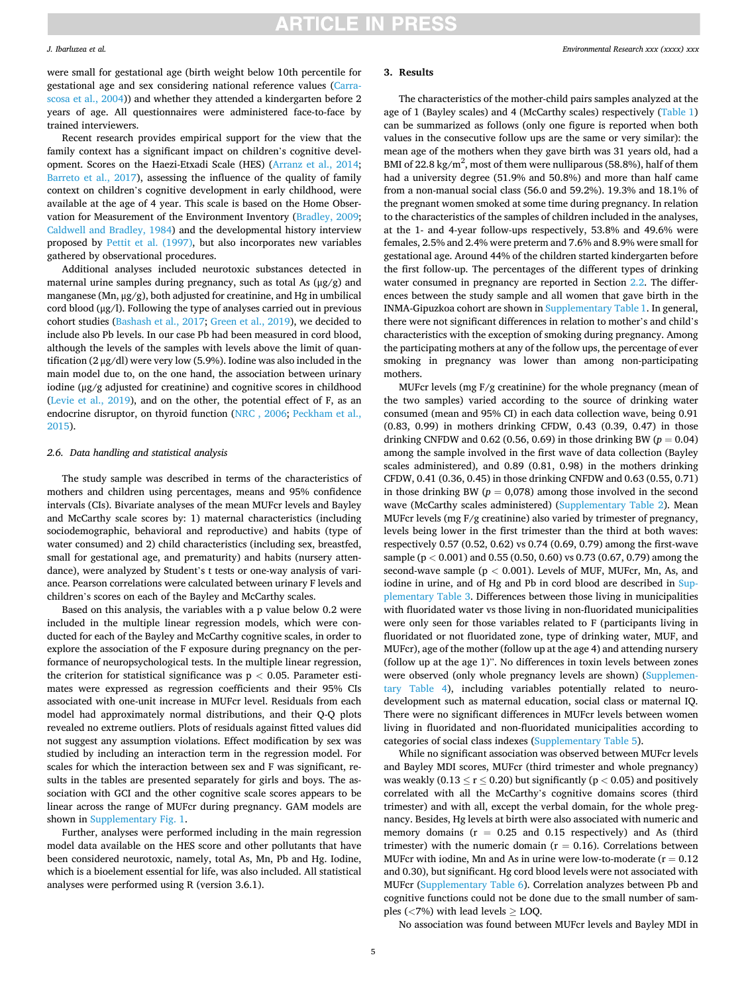### *J. Ibarluzea et al.*

were small for gestational age (birth weight below 10th percentile for gestational age and sex considering national reference values ([Carra](#page-8-0)[scosa et al., 2004\)](#page-8-0)) and whether they attended a kindergarten before 2 years of age. All questionnaires were administered face-to-face by trained interviewers.

Recent research provides empirical support for the view that the family context has a significant impact on children's cognitive development. Scores on the Haezi-Etxadi Scale (HES) ([Arranz et al., 2014](#page-8-0); [Barreto et al., 2017](#page-8-0)), assessing the influence of the quality of family context on children's cognitive development in early childhood, were available at the age of 4 year. This scale is based on the Home Observation for Measurement of the Environment Inventory ([Bradley, 2009](#page-8-0); [Caldwell and Bradley, 1984](#page-8-0)) and the developmental history interview proposed by [Pettit et al. \(1997\),](#page-9-0) but also incorporates new variables gathered by observational procedures.

Additional analyses included neurotoxic substances detected in maternal urine samples during pregnancy, such as total As (μg/g) and manganese (Mn,  $\mu$ g/g), both adjusted for creatinine, and Hg in umbilical cord blood (μg/l). Following the type of analyses carried out in previous cohort studies ([Bashash et al., 2017; Green et al., 2019\)](#page-8-0), we decided to include also Pb levels. In our case Pb had been measured in cord blood, although the levels of the samples with levels above the limit of quantification (2 μg/dl) were very low (5.9%). Iodine was also included in the main model due to, on the one hand, the association between urinary iodine (μg/g adjusted for creatinine) and cognitive scores in childhood ([Levie et al., 2019](#page-9-0)), and on the other, the potential effect of F, as an endocrine disruptor, on thyroid function ([NRC , 2006](#page-9-0); [Peckham et al.,](#page-9-0)  [2015\)](#page-9-0).

### *2.6. Data handling and statistical analysis*

The study sample was described in terms of the characteristics of mothers and children using percentages, means and 95% confidence intervals (CIs). Bivariate analyses of the mean MUFcr levels and Bayley and McCarthy scale scores by: 1) maternal characteristics (including sociodemographic, behavioral and reproductive) and habits (type of water consumed) and 2) child characteristics (including sex, breastfed, small for gestational age, and prematurity) and habits (nursery attendance), were analyzed by Student's t tests or one-way analysis of variance. Pearson correlations were calculated between urinary F levels and children's scores on each of the Bayley and McCarthy scales.

Based on this analysis, the variables with a p value below 0.2 were included in the multiple linear regression models, which were conducted for each of the Bayley and McCarthy cognitive scales, in order to explore the association of the F exposure during pregnancy on the performance of neuropsychological tests. In the multiple linear regression, the criterion for statistical significance was  $p < 0.05$ . Parameter estimates were expressed as regression coefficients and their 95% CIs associated with one-unit increase in MUFcr level. Residuals from each model had approximately normal distributions, and their Q-Q plots revealed no extreme outliers. Plots of residuals against fitted values did not suggest any assumption violations. Effect modification by sex was studied by including an interaction term in the regression model. For scales for which the interaction between sex and F was significant, results in the tables are presented separately for girls and boys. The association with GCI and the other cognitive scale scores appears to be linear across the range of MUFcr during pregnancy. GAM models are shown in Supplementary Fig. 1.

Further, analyses were performed including in the main regression model data available on the HES score and other pollutants that have been considered neurotoxic, namely, total As, Mn, Pb and Hg. Iodine, which is a bioelement essential for life, was also included. All statistical analyses were performed using R (version 3.6.1).

### **3. Results**

The characteristics of the mother-child pairs samples analyzed at the age of 1 (Bayley scales) and 4 (McCarthy scales) respectively [\(Table 1\)](#page-3-0) can be summarized as follows (only one figure is reported when both values in the consecutive follow ups are the same or very similar): the mean age of the mothers when they gave birth was 31 years old, had a BMI of 22.8 kg/m<sup>2</sup>, most of them were nulliparous (58.8%), half of them had a university degree (51.9% and 50.8%) and more than half came from a non-manual social class (56.0 and 59.2%). 19.3% and 18.1% of the pregnant women smoked at some time during pregnancy. In relation to the characteristics of the samples of children included in the analyses, at the 1- and 4-year follow-ups respectively, 53.8% and 49.6% were females, 2.5% and 2.4% were preterm and 7.6% and 8.9% were small for gestational age. Around 44% of the children started kindergarten before the first follow-up. The percentages of the different types of drinking water consumed in pregnancy are reported in Section [2.2.](#page-2-0) The differences between the study sample and all women that gave birth in the INMA-Gipuzkoa cohort are shown in Supplementary Table 1. In general, there were not significant differences in relation to mother's and child's characteristics with the exception of smoking during pregnancy. Among the participating mothers at any of the follow ups, the percentage of ever smoking in pregnancy was lower than among non-participating mothers.

MUFcr levels (mg F/g creatinine) for the whole pregnancy (mean of the two samples) varied according to the source of drinking water consumed (mean and 95% CI) in each data collection wave, being 0.91 (0.83, 0.99) in mothers drinking CFDW, 0.43 (0.39, 0.47) in those drinking CNFDW and  $0.62$  (0.56, 0.69) in those drinking BW ( $p = 0.04$ ) among the sample involved in the first wave of data collection (Bayley scales administered), and 0.89 (0.81, 0.98) in the mothers drinking CFDW, 0.41 (0.36, 0.45) in those drinking CNFDW and 0.63 (0.55, 0.71) in those drinking BW ( $p = 0.078$ ) among those involved in the second wave (McCarthy scales administered) (Supplementary Table 2). Mean MUFcr levels (mg F/g creatinine) also varied by trimester of pregnancy, levels being lower in the first trimester than the third at both waves: respectively 0.57 (0.52, 0.62) vs 0.74 (0.69, 0.79) among the first-wave sample (p *<* 0.001) and 0.55 (0.50, 0.60) vs 0.73 (0.67, 0.79) among the second-wave sample (p *<* 0.001). Levels of MUF, MUFcr, Mn, As, and iodine in urine, and of Hg and Pb in cord blood are described in Supplementary Table 3. Differences between those living in municipalities with fluoridated water vs those living in non-fluoridated municipalities were only seen for those variables related to F (participants living in fluoridated or not fluoridated zone, type of drinking water, MUF, and MUFcr), age of the mother (follow up at the age 4) and attending nursery (follow up at the age 1)". No differences in toxin levels between zones were observed (only whole pregnancy levels are shown) (Supplementary Table 4), including variables potentially related to neurodevelopment such as maternal education, social class or maternal IQ. There were no significant differences in MUFcr levels between women living in fluoridated and non-fluoridated municipalities according to categories of social class indexes (Supplementary Table 5).

While no significant association was observed between MUFcr levels and Bayley MDI scores, MUFcr (third trimester and whole pregnancy) was weakly (0.13  $\le$  r  $\le$  0.20) but significantly (p < 0.05) and positively correlated with all the McCarthy's cognitive domains scores (third trimester) and with all, except the verbal domain, for the whole pregnancy. Besides, Hg levels at birth were also associated with numeric and memory domains ( $r = 0.25$  and 0.15 respectively) and As (third trimester) with the numeric domain ( $r = 0.16$ ). Correlations between MUFcr with iodine, Mn and As in urine were low-to-moderate ( $r = 0.12$ ) and 0.30), but significant. Hg cord blood levels were not associated with MUFcr (Supplementary Table 6). Correlation analyzes between Pb and cognitive functions could not be done due to the small number of samples ( $\langle 7\%$ ) with lead levels  $\geq$  LOQ.

No association was found between MUFcr levels and Bayley MDI in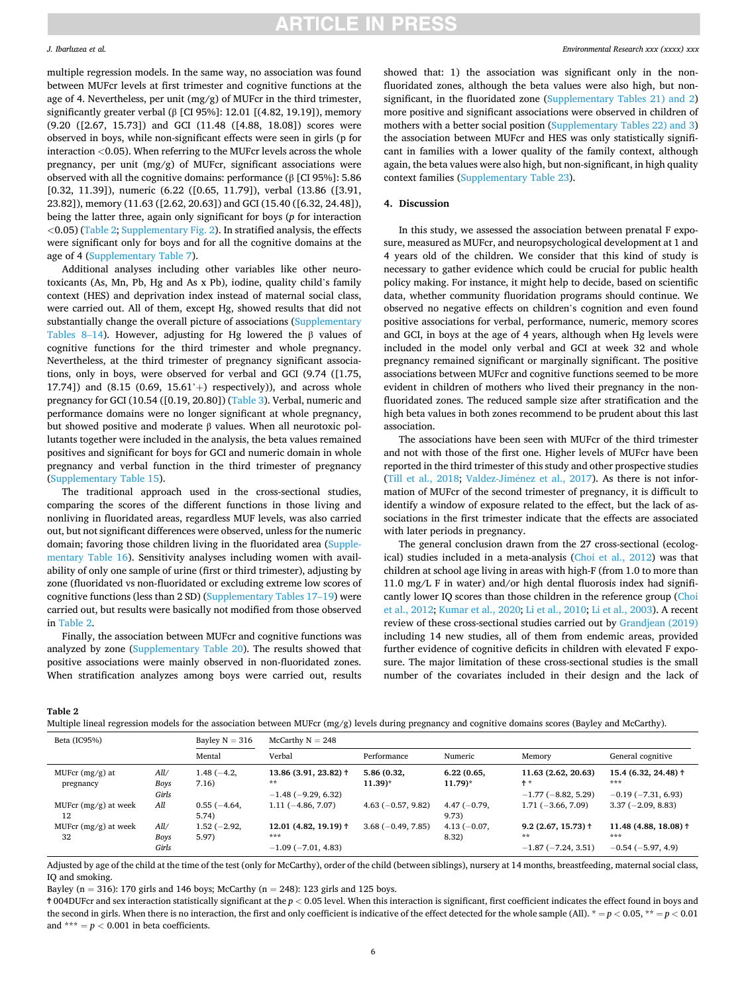multiple regression models. In the same way, no association was found between MUFcr levels at first trimester and cognitive functions at the age of 4. Nevertheless, per unit (mg/g) of MUFcr in the third trimester, significantly greater verbal (β [CI 95%]: 12.01 [(4.82, 19.19]), memory (9.20 ([2.67, 15.73]) and GCI (11.48 ([4.88, 18.08]) scores were observed in boys, while non-significant effects were seen in girls (p for interaction *<*0.05). When referring to the MUFcr levels across the whole pregnancy, per unit (mg/g) of MUFcr, significant associations were observed with all the cognitive domains: performance (β [CI 95%]: 5.86 [0.32, 11.39]), numeric (6.22 ([0.65, 11.79]), verbal (13.86 ([3.91, 23.82]), memory (11.63 ([2.62, 20.63]) and GCI (15.40 ([6.32, 24.48]), being the latter three, again only significant for boys (*p* for interaction *<*0.05) (Table 2; Supplementary Fig. 2). In stratified analysis, the effects were significant only for boys and for all the cognitive domains at the age of 4 (Supplementary Table 7).

Additional analyses including other variables like other neurotoxicants (As, Mn, Pb, Hg and As x Pb), iodine, quality child's family context (HES) and deprivation index instead of maternal social class, were carried out. All of them, except Hg, showed results that did not substantially change the overall picture of associations (Supplementary Tables 8–14). However, adjusting for Hg lowered the β values of cognitive functions for the third trimester and whole pregnancy. Nevertheless, at the third trimester of pregnancy significant associations, only in boys, were observed for verbal and GCI (9.74 ([1.75, 17.74]) and  $(8.15 (0.69, 15.61' +)$  respectively)), and across whole pregnancy for GCI (10.54 ([0.19, 20.80]) ([Table 3\)](#page-6-0). Verbal, numeric and performance domains were no longer significant at whole pregnancy, but showed positive and moderate β values. When all neurotoxic pollutants together were included in the analysis, the beta values remained positives and significant for boys for GCI and numeric domain in whole pregnancy and verbal function in the third trimester of pregnancy (Supplementary Table 15).

The traditional approach used in the cross-sectional studies, comparing the scores of the different functions in those living and nonliving in fluoridated areas, regardless MUF levels, was also carried out, but not significant differences were observed, unless for the numeric domain; favoring those children living in the fluoridated area (Supplementary Table 16). Sensitivity analyses including women with availability of only one sample of urine (first or third trimester), adjusting by zone (fluoridated vs non-fluoridated or excluding extreme low scores of cognitive functions (less than 2 SD) (Supplementary Tables 17–19) were carried out, but results were basically not modified from those observed in Table 2.

Finally, the association between MUFcr and cognitive functions was analyzed by zone (Supplementary Table 20). The results showed that positive associations were mainly observed in non-fluoridated zones. When stratification analyzes among boys were carried out, results

showed that: 1) the association was significant only in the nonfluoridated zones, although the beta values were also high, but nonsignificant, in the fluoridated zone (Supplementary Tables 21) and 2) more positive and significant associations were observed in children of mothers with a better social position (Supplementary Tables 22) and 3) the association between MUFcr and HES was only statistically significant in families with a lower quality of the family context, although again, the beta values were also high, but non-significant, in high quality context families (Supplementary Table 23).

### **4. Discussion**

**ARTICLE IN PRESS** 

In this study, we assessed the association between prenatal F exposure, measured as MUFcr, and neuropsychological development at 1 and 4 years old of the children. We consider that this kind of study is necessary to gather evidence which could be crucial for public health policy making. For instance, it might help to decide, based on scientific data, whether community fluoridation programs should continue. We observed no negative effects on children's cognition and even found positive associations for verbal, performance, numeric, memory scores and GCI, in boys at the age of 4 years, although when Hg levels were included in the model only verbal and GCI at week 32 and whole pregnancy remained significant or marginally significant. The positive associations between MUFcr and cognitive functions seemed to be more evident in children of mothers who lived their pregnancy in the nonfluoridated zones. The reduced sample size after stratification and the high beta values in both zones recommend to be prudent about this last association.

The associations have been seen with MUFcr of the third trimester and not with those of the first one. Higher levels of MUFcr have been reported in the third trimester of this study and other prospective studies ([Till et al., 2018;](#page-9-0) Valdez-Jiménez et al., 2017). As there is not information of MUFcr of the second trimester of pregnancy, it is difficult to identify a window of exposure related to the effect, but the lack of associations in the first trimester indicate that the effects are associated with later periods in pregnancy.

The general conclusion drawn from the 27 cross-sectional (ecological) studies included in a meta-analysis ([Choi et al., 2012\)](#page-8-0) was that children at school age living in areas with high-F (from 1.0 to more than 11.0 mg/L F in water) and/or high dental fluorosis index had significantly lower IQ scores than those children in the reference group [\(Choi](#page-8-0)  [et al., 2012](#page-8-0); [Kumar et al., 2020; Li et al., 2010](#page-9-0); [Li et al., 2003](#page-9-0)). A recent review of these cross-sectional studies carried out by [Grandjean \(2019\)](#page-8-0)  including 14 new studies, all of them from endemic areas, provided further evidence of cognitive deficits in children with elevated F exposure. The major limitation of these cross-sectional studies is the small number of the covariates included in their design and the lack of

#### **Table 2**

Multiple lineal regression models for the association between MUFcr (mg/g) levels during pregnancy and cognitive domains scores (Bayley and McCarthy).

| Beta (IC95%)<br>Bayley $N = 316$ |                       | $McCarthy N = 248$     |                                                                       |                                     |                                    |                                                             |                                                             |
|----------------------------------|-----------------------|------------------------|-----------------------------------------------------------------------|-------------------------------------|------------------------------------|-------------------------------------------------------------|-------------------------------------------------------------|
|                                  |                       | Mental                 | Verbal                                                                | Performance                         | Numeric                            | Memory                                                      | General cognitive                                           |
| MUFcr $(mg/g)$ at<br>pregnancy   | All/<br>Boys          | $1.48(-4.2,$<br>7.16)  | $13.86(3.91, 23.82)$ <sup>†</sup><br>**                               | 5.86 (0.32,<br>$11.39$ <sup>*</sup> | 6.22(0.65,<br>$11.79$ <sup>*</sup> | 11.63 (2.62, 20.63)<br>ተ *                                  | 15.4 $(6.32, 24.48)$ <sup>†</sup><br>***                    |
| MUFcr $(mg/g)$ at week<br>12     | Girls<br>All          | $0.55(-4.64,$<br>5.74  | $-1.48$ ( $-9.29$ , 6.32)<br>$1.11(-4.86, 7.07)$                      | $4.63(-0.57, 9.82)$                 | $4.47(-0.79,$<br>9.73)             | $-1.77(-8.82, 5.29)$<br>$1.71(-3.66, 7.09)$                 | $-0.19(-7.31, 6.93)$<br>$3.37(-2.09, 8.83)$                 |
| MUFcr $(mg/g)$ at week<br>32     | All/<br>Boys<br>Girls | $1.52(-2.92,$<br>5.97) | $12.01(4.82, 19.19)$ <sup>†</sup><br>***<br>$-1.09$ ( $-7.01$ , 4.83) | $3.68(-0.49, 7.85)$                 | $4.13(-0.07,$<br>8.32)             | $9.2$ (2.67, 15.73) $\dagger$<br>**<br>$-1.87(-7.24, 3.51)$ | 11.48 (4.88, 18.08) $\dagger$<br>***<br>$-0.54(-5.97, 4.9)$ |

Adjusted by age of the child at the time of the test (only for McCarthy), order of the child (between siblings), nursery at 14 months, breastfeeding, maternal social class, IQ and smoking.

Bayley ( $n = 316$ ): 170 girls and 146 boys; McCarthy ( $n = 248$ ): 123 girls and 125 boys.

Ϯ 004DUFcr and sex interaction statistically significant at the *p <* 0.05 level. When this interaction is significant, first coefficient indicates the effect found in boys and the second in girls. When there is no interaction, the first and only coefficient is indicative of the effect detected for the whole sample (All).  $* = p < 0.05$ ,  $* = p < 0.01$ and \*\*\*  $= p < 0.001$  in beta coefficients.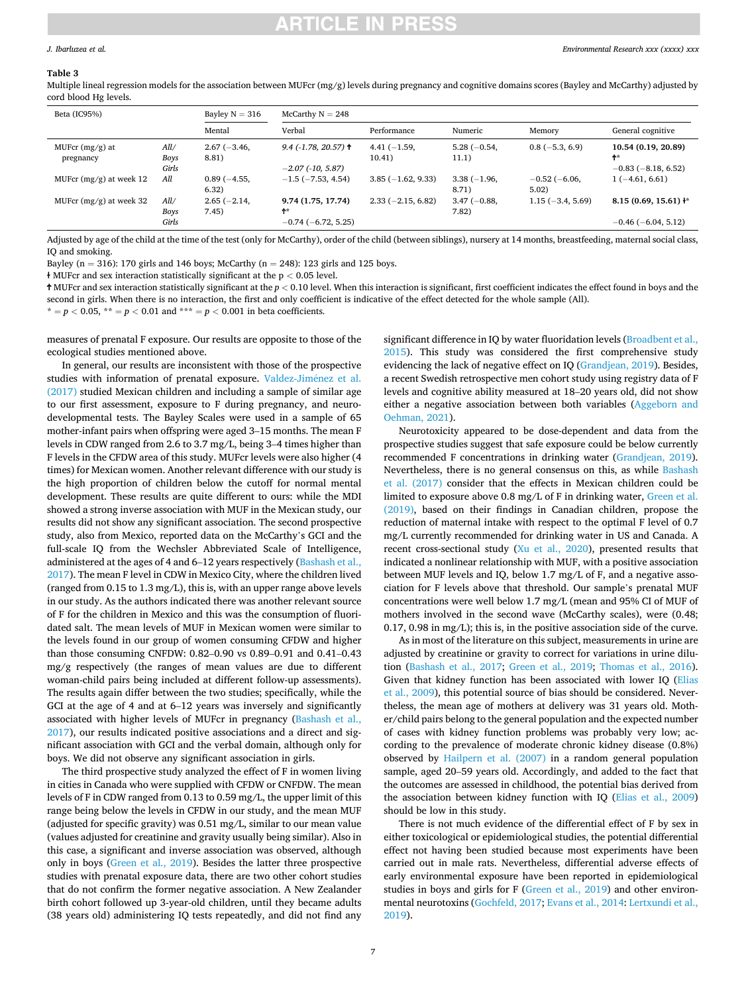### <span id="page-6-0"></span>*J. Ibarluzea et al.*

#### **Table 3**

Multiple lineal regression models for the association between MUFcr (mg/g) levels during pregnancy and cognitive domains scores (Bayley and McCarthy) adjusted by cord blood Hg levels.

| Beta (IC95%)                   |                       | Bayley $N = 316$       | McCarthy $N = 248$                            |                         |                        |                        |                                                   |
|--------------------------------|-----------------------|------------------------|-----------------------------------------------|-------------------------|------------------------|------------------------|---------------------------------------------------|
|                                |                       | Mental                 | Verbal                                        | Performance             | Numeric                | Memory                 | General cognitive                                 |
| MUFcr $(mg/g)$ at<br>pregnancy | All/<br>Boys<br>Girls | $2.67(-3.46,$<br>8.81) | $9.4$ (-1.78, 20.57) t<br>$-2.07$ (-10, 5.87) | $4.41(-1.59,$<br>10.41) | $5.28(-0.54,$<br>11.1) | $0.8(-5.3, 6.9)$       | 10.54 (0.19, 20.89)<br>ተ*<br>$-0.83(-8.18, 6.52)$ |
| MUFcr $(mg/g)$ at week 12      | All                   | $0.89(-4.55,$<br>6.32) | $-1.5$ ( $-7.53$ , 4.54)                      | $3.85(-1.62, 9.33)$     | $3.38(-1.96,$<br>8.71) | $-0.52(-6.06,$<br>5.02 | $1(-4.61, 6.61)$                                  |
| MUFcr $(mg/g)$ at week 32      | All/<br>Boys          | $2.65(-2.14,$<br>7.45) | 9.74 (1.75, 17.74)<br>ተ*                      | $2.33(-2.15, 6.82)$     | $3.47(-0.88,$<br>7.82) | $1.15(-3.4, 5.69)$     | $8.15(0.69, 15.61)$ +*                            |
|                                | Girls                 |                        | $-0.74$ ( $-6.72$ , 5.25)                     |                         |                        |                        | $-0.46$ ( $-6.04$ , 5.12)                         |

Adjusted by age of the child at the time of the test (only for McCarthy), order of the child (between siblings), nursery at 14 months, breastfeeding, maternal social class, IQ and smoking.

Bayley ( $n = 316$ ): 170 girls and 146 boys; McCarthy ( $n = 248$ ): 123 girls and 125 boys.

ɫ MUFcr and sex interaction statistically significant at the p *<* 0.05 level.

Ϯ MUFcr and sex interaction statistically significant at the *p <* 0.10 level. When this interaction is significant, first coefficient indicates the effect found in boys and the second in girls. When there is no interaction, the first and only coefficient is indicative of the effect detected for the whole sample (All).

\* =  $p$  < 0.05, \*\* =  $p$  < 0.01 and \*\*\* =  $p$  < 0.001 in beta coefficients.

measures of prenatal F exposure. Our results are opposite to those of the ecological studies mentioned above.

In general, our results are inconsistent with those of the prospective studies with information of prenatal exposure. [Valdez-Jim](#page-9-0)énez et al. [\(2017\)](#page-9-0) studied Mexican children and including a sample of similar age to our first assessment, exposure to F during pregnancy, and neurodevelopmental tests. The Bayley Scales were used in a sample of 65 mother-infant pairs when offspring were aged 3–15 months. The mean F levels in CDW ranged from 2.6 to 3.7 mg/L, being 3–4 times higher than F levels in the CFDW area of this study. MUFcr levels were also higher (4 times) for Mexican women. Another relevant difference with our study is the high proportion of children below the cutoff for normal mental development. These results are quite different to ours: while the MDI showed a strong inverse association with MUF in the Mexican study, our results did not show any significant association. The second prospective study, also from Mexico, reported data on the McCarthy's GCI and the full-scale IQ from the Wechsler Abbreviated Scale of Intelligence, administered at the ages of 4 and 6–12 years respectively [\(Bashash et al.,](#page-8-0)  [2017\)](#page-8-0). The mean F level in CDW in Mexico City, where the children lived (ranged from 0.15 to 1.3 mg/L), this is, with an upper range above levels in our study. As the authors indicated there was another relevant source of F for the children in Mexico and this was the consumption of fluoridated salt. The mean levels of MUF in Mexican women were similar to the levels found in our group of women consuming CFDW and higher than those consuming CNFDW: 0.82–0.90 vs 0.89–0.91 and 0.41–0.43 mg/g respectively (the ranges of mean values are due to different woman-child pairs being included at different follow-up assessments). The results again differ between the two studies; specifically, while the GCI at the age of 4 and at 6–12 years was inversely and significantly associated with higher levels of MUFcr in pregnancy [\(Bashash et al.,](#page-8-0)  [2017\)](#page-8-0), our results indicated positive associations and a direct and significant association with GCI and the verbal domain, although only for boys. We did not observe any significant association in girls.

The third prospective study analyzed the effect of F in women living in cities in Canada who were supplied with CFDW or CNFDW. The mean levels of F in CDW ranged from 0.13 to 0.59 mg/L, the upper limit of this range being below the levels in CFDW in our study, and the mean MUF (adjusted for specific gravity) was 0.51 mg/L, similar to our mean value (values adjusted for creatinine and gravity usually being similar). Also in this case, a significant and inverse association was observed, although only in boys [\(Green et al., 2019\)](#page-8-0). Besides the latter three prospective studies with prenatal exposure data, there are two other cohort studies that do not confirm the former negative association. A New Zealander birth cohort followed up 3-year-old children, until they became adults (38 years old) administering IQ tests repeatedly, and did not find any

significant difference in IQ by water fluoridation levels ([Broadbent et al.,](#page-8-0)  [2015\)](#page-8-0). This study was considered the first comprehensive study evidencing the lack of negative effect on IQ ([Grandjean, 2019](#page-8-0)). Besides, a recent Swedish retrospective men cohort study using registry data of F levels and cognitive ability measured at 18–20 years old, did not show either a negative association between both variables ([Aggeborn and](#page-8-0)  [Oehman, 2021\)](#page-8-0).

Neurotoxicity appeared to be dose-dependent and data from the prospective studies suggest that safe exposure could be below currently recommended F concentrations in drinking water [\(Grandjean, 2019](#page-8-0)). Nevertheless, there is no general consensus on this, as while [Bashash](#page-8-0)  [et al. \(2017\)](#page-8-0) consider that the effects in Mexican children could be limited to exposure above 0.8 mg/L of F in drinking water, [Green et al.](#page-8-0)  [\(2019\),](#page-8-0) based on their findings in Canadian children, propose the reduction of maternal intake with respect to the optimal F level of 0.7 mg/L currently recommended for drinking water in US and Canada. A recent cross-sectional study [\(Xu et al., 2020\)](#page-9-0), presented results that indicated a nonlinear relationship with MUF, with a positive association between MUF levels and IQ, below 1.7 mg/L of F, and a negative association for F levels above that threshold. Our sample's prenatal MUF concentrations were well below 1.7 mg/L (mean and 95% CI of MUF of mothers involved in the second wave (McCarthy scales), were (0.48; 0.17, 0.98 in mg/L); this is, in the positive association side of the curve.

As in most of the literature on this subject, measurements in urine are adjusted by creatinine or gravity to correct for variations in urine dilution ([Bashash et al., 2017](#page-8-0); [Green et al., 2019](#page-8-0); [Thomas et al., 2016](#page-9-0)). Given that kidney function has been associated with lower IQ [\(Elias](#page-8-0)  [et al., 2009\)](#page-8-0), this potential source of bias should be considered. Nevertheless, the mean age of mothers at delivery was 31 years old. Mother/child pairs belong to the general population and the expected number of cases with kidney function problems was probably very low; according to the prevalence of moderate chronic kidney disease (0.8%) observed by [Hailpern et al. \(2007\)](#page-8-0) in a random general population sample, aged 20–59 years old. Accordingly, and added to the fact that the outcomes are assessed in childhood, the potential bias derived from the association between kidney function with IQ ([Elias et al., 2009\)](#page-8-0) should be low in this study.

There is not much evidence of the differential effect of F by sex in either toxicological or epidemiological studies, the potential differential effect not having been studied because most experiments have been carried out in male rats. Nevertheless, differential adverse effects of early environmental exposure have been reported in epidemiological studies in boys and girls for F ([Green et al., 2019\)](#page-8-0) and other environmental neurotoxins [\(Gochfeld, 2017; Evans et al., 2014](#page-8-0): [Lertxundi et al.,](#page-9-0)  [2019\)](#page-9-0).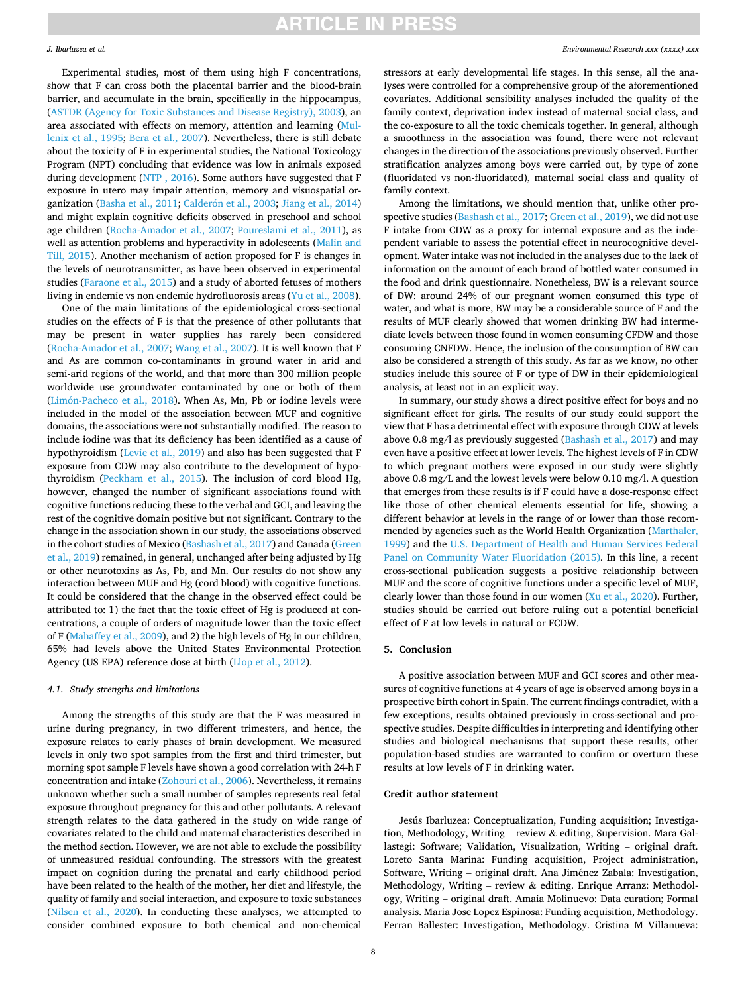### *J. Ibarluzea et al.*

Experimental studies, most of them using high F concentrations, show that F can cross both the placental barrier and the blood-brain barrier, and accumulate in the brain, specifically in the hippocampus, ([ASTDR \(Agency for Toxic Substances and Disease Registry\), 2003\)](#page-8-0), an area associated with effects on memory, attention and learning [\(Mul](#page-9-0)[lenix et al., 1995](#page-9-0); [Bera et al., 2007\)](#page-8-0). Nevertheless, there is still debate about the toxicity of F in experimental studies, the National Toxicology Program (NPT) concluding that evidence was low in animals exposed during development [\(NTP , 2016](#page-9-0)). Some authors have suggested that F exposure in utero may impair attention, memory and visuospatial or-ganization ([Basha et al., 2011](#page-8-0); Calderón [et al., 2003](#page-8-0); [Jiang et al., 2014\)](#page-9-0) and might explain cognitive deficits observed in preschool and school age children ([Rocha-Amador et al., 2007;](#page-9-0) [Poureslami et al., 2011](#page-9-0)), as well as attention problems and hyperactivity in adolescents ([Malin and](#page-9-0)  [Till, 2015](#page-9-0)). Another mechanism of action proposed for F is changes in the levels of neurotransmitter, as have been observed in experimental studies [\(Faraone et al., 2015\)](#page-8-0) and a study of aborted fetuses of mothers living in endemic vs non endemic hydrofluorosis areas ([Yu et al., 2008](#page-9-0)).

One of the main limitations of the epidemiological cross-sectional studies on the effects of F is that the presence of other pollutants that may be present in water supplies has rarely been considered ([Rocha-Amador et al., 2007](#page-9-0); [Wang et al., 2007](#page-9-0)). It is well known that F and As are common co-contaminants in ground water in arid and semi-arid regions of the world, and that more than 300 million people worldwide use groundwater contaminated by one or both of them (Limón-Pacheco et al., 2018). When As, Mn, Pb or iodine levels were included in the model of the association between MUF and cognitive domains, the associations were not substantially modified. The reason to include iodine was that its deficiency has been identified as a cause of hypothyroidism ([Levie et al., 2019](#page-9-0)) and also has been suggested that F exposure from CDW may also contribute to the development of hypothyroidism ([Peckham et al., 2015](#page-9-0)). The inclusion of cord blood Hg, however, changed the number of significant associations found with cognitive functions reducing these to the verbal and GCI, and leaving the rest of the cognitive domain positive but not significant. Contrary to the change in the association shown in our study, the associations observed in the cohort studies of Mexico [\(Bashash et al., 2017](#page-8-0)) and Canada ([Green](#page-8-0)  [et al., 2019\)](#page-8-0) remained, in general, unchanged after being adjusted by Hg or other neurotoxins as As, Pb, and Mn. Our results do not show any interaction between MUF and Hg (cord blood) with cognitive functions. It could be considered that the change in the observed effect could be attributed to: 1) the fact that the toxic effect of Hg is produced at concentrations, a couple of orders of magnitude lower than the toxic effect of F ([Mahaffey et al., 2009\)](#page-9-0), and 2) the high levels of Hg in our children, 65% had levels above the United States Environmental Protection Agency (US EPA) reference dose at birth [\(Llop et al., 2012](#page-9-0)).

### *4.1. Study strengths and limitations*

Among the strengths of this study are that the F was measured in urine during pregnancy, in two different trimesters, and hence, the exposure relates to early phases of brain development. We measured levels in only two spot samples from the first and third trimester, but morning spot sample F levels have shown a good correlation with 24-h F concentration and intake [\(Zohouri et al., 2006](#page-9-0)). Nevertheless, it remains unknown whether such a small number of samples represents real fetal exposure throughout pregnancy for this and other pollutants. A relevant strength relates to the data gathered in the study on wide range of covariates related to the child and maternal characteristics described in the method section. However, we are not able to exclude the possibility of unmeasured residual confounding. The stressors with the greatest impact on cognition during the prenatal and early childhood period have been related to the health of the mother, her diet and lifestyle, the quality of family and social interaction, and exposure to toxic substances ([Nilsen et al., 2020\)](#page-9-0). In conducting these analyses, we attempted to consider combined exposure to both chemical and non-chemical

stressors at early developmental life stages. In this sense, all the analyses were controlled for a comprehensive group of the aforementioned covariates. Additional sensibility analyses included the quality of the family context, deprivation index instead of maternal social class, and the co-exposure to all the toxic chemicals together. In general, although a smoothness in the association was found, there were not relevant changes in the direction of the associations previously observed. Further stratification analyzes among boys were carried out, by type of zone (fluoridated vs non-fluoridated), maternal social class and quality of family context.

Among the limitations, we should mention that, unlike other prospective studies ([Bashash et al., 2017](#page-8-0); [Green et al., 2019\)](#page-8-0), we did not use F intake from CDW as a proxy for internal exposure and as the independent variable to assess the potential effect in neurocognitive development. Water intake was not included in the analyses due to the lack of information on the amount of each brand of bottled water consumed in the food and drink questionnaire. Nonetheless, BW is a relevant source of DW: around 24% of our pregnant women consumed this type of water, and what is more, BW may be a considerable source of F and the results of MUF clearly showed that women drinking BW had intermediate levels between those found in women consuming CFDW and those consuming CNFDW. Hence, the inclusion of the consumption of BW can also be considered a strength of this study. As far as we know, no other studies include this source of F or type of DW in their epidemiological analysis, at least not in an explicit way.

In summary, our study shows a direct positive effect for boys and no significant effect for girls. The results of our study could support the view that F has a detrimental effect with exposure through CDW at levels above 0.8 mg/l as previously suggested [\(Bashash et al., 2017\)](#page-8-0) and may even have a positive effect at lower levels. The highest levels of F in CDW to which pregnant mothers were exposed in our study were slightly above 0.8 mg/L and the lowest levels were below 0.10 mg/l. A question that emerges from these results is if F could have a dose-response effect like those of other chemical elements essential for life, showing a different behavior at levels in the range of or lower than those recommended by agencies such as the World Health Organization ([Marthaler,](#page-9-0)  [1999\)](#page-9-0) and the [U.S. Department of Health and Human Services Federal](#page-9-0)  [Panel on Community Water Fluoridation \(2015\).](#page-9-0) In this line, a recent cross-sectional publication suggests a positive relationship between MUF and the score of cognitive functions under a specific level of MUF, clearly lower than those found in our women ( $Xu$  et al., 2020). Further, studies should be carried out before ruling out a potential beneficial effect of F at low levels in natural or FCDW.

### **5. Conclusion**

A positive association between MUF and GCI scores and other measures of cognitive functions at 4 years of age is observed among boys in a prospective birth cohort in Spain. The current findings contradict, with a few exceptions, results obtained previously in cross-sectional and prospective studies. Despite difficulties in interpreting and identifying other studies and biological mechanisms that support these results, other population-based studies are warranted to confirm or overturn these results at low levels of F in drinking water.

### **Credit author statement**

Jesús Ibarluzea: Conceptualization, Funding acquisition; Investigation, Methodology, Writing – review & editing, Supervision. Mara Gallastegi: Software; Validation, Visualization, Writing – original draft. Loreto Santa Marina: Funding acquisition, Project administration, Software, Writing - original draft. Ana Jiménez Zabala: Investigation, Methodology, Writing – review & editing. Enrique Arranz: Methodology, Writing – original draft. Amaia Molinuevo: Data curation; Formal analysis. Maria Jose Lopez Espinosa: Funding acquisition, Methodology. Ferran Ballester: Investigation, Methodology. Cristina M Villanueva: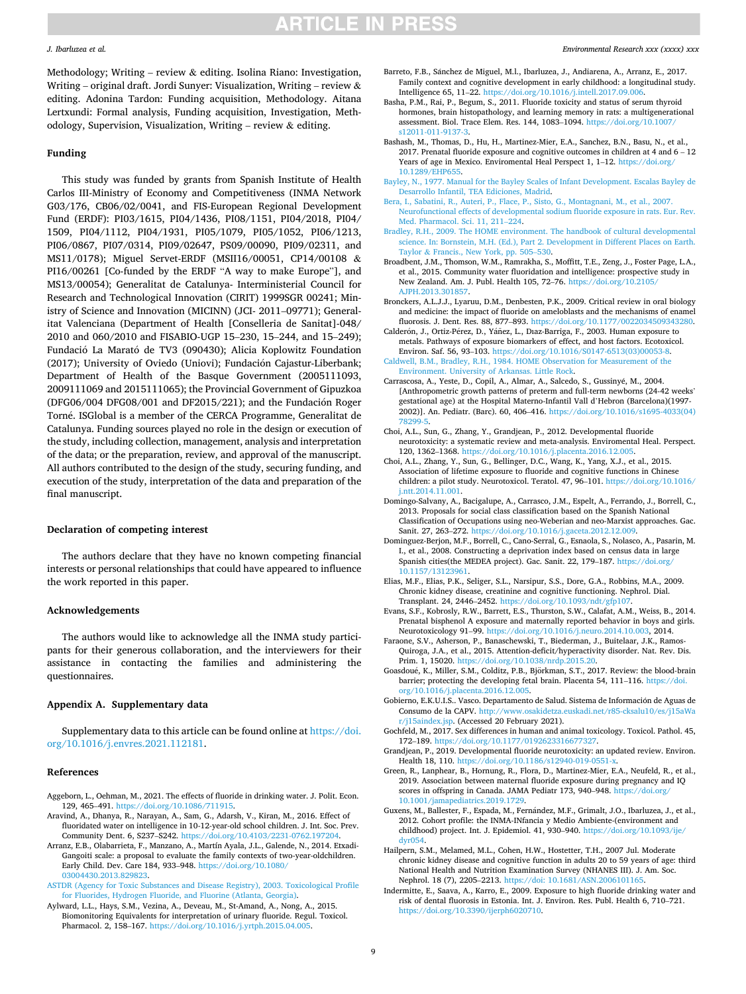### <span id="page-8-0"></span>*J. Ibarluzea et al.*

Methodology; Writing – review  $\&$  editing. Isolina Riano: Investigation, Writing – original draft. Jordi Sunyer: Visualization, Writing – review & editing. Adonina Tardon: Funding acquisition, Methodology. Aitana Lertxundi: Formal analysis, Funding acquisition, Investigation, Methodology, Supervision, Visualization, Writing – review & editing.

### **Funding**

This study was funded by grants from Spanish Institute of Health Carlos III-Ministry of Economy and Competitiveness (INMA Network G03/176, CB06/02/0041, and FIS-European Regional Development Fund (ERDF): PI03/1615, PI04/1436, PI08/1151, PI04/2018, PI04/ 1509, PI04/1112, PI04/1931, PI05/1079, PI05/1052, PI06/1213, PI06/0867, PI07/0314, PI09/02647, PS09/00090, PI09/02311, and MS11/0178); Miguel Servet-ERDF (MSII16/00051, CP14/00108 & PI16/00261 [Co-funded by the ERDF "A way to make Europe"], and MS13/00054); Generalitat de Catalunya- Interministerial Council for Research and Technological Innovation (CIRIT) 1999SGR 00241; Ministry of Science and Innovation (MICINN) (JCI- 2011–09771); Generalitat Valenciana (Department of Health [Conselleria de Sanitat]-048/ 2010 and 060/2010 and FISABIO-UGP 15–230, 15–244, and 15–249); Fundació La Marató de TV3 (090430); Alicia Koplowitz Foundation (2017); University of Oviedo (Uniovi); Fundación Cajastur-Liberbank; Department of Health of the Basque Government (2005111093, 2009111069 and 2015111065); the Provincial Government of Gipuzkoa  $(DFG06/004)$  DF $G08/001$  and DF $2015/221$ ); and the Fundación Roger Torné. ISGlobal is a member of the CERCA Programme, Generalitat de Catalunya. Funding sources played no role in the design or execution of the study, including collection, management, analysis and interpretation of the data; or the preparation, review, and approval of the manuscript. All authors contributed to the design of the study, securing funding, and execution of the study, interpretation of the data and preparation of the final manuscript.

### **Declaration of competing interest**

The authors declare that they have no known competing financial interests or personal relationships that could have appeared to influence the work reported in this paper.

### **Acknowledgements**

The authors would like to acknowledge all the INMA study participants for their generous collaboration, and the interviewers for their assistance in contacting the families and administering the questionnaires.

### **Appendix A. Supplementary data**

Supplementary data to this article can be found online at [https://doi.](https://doi.org/10.1016/j.envres.2021.112181)  [org/10.1016/j.envres.2021.112181.](https://doi.org/10.1016/j.envres.2021.112181)

### **References**

- Aggeborn, L., Oehman, M., 2021. The effects of fluoride in drinking water. J. Polit. Econ. 129, 465–491. <https://doi.org/10.1086/711915>.
- Aravind, A., Dhanya, R., Narayan, A., Sam, G., Adarsh, V., Kiran, M., 2016. Effect of fluoridated water on intelligence in 10-12-year-old school children. J. Int. Soc. Prev. Community Dent. 6, S237–S242. [https://doi.org/10.4103/2231-0762.197204.](https://doi.org/10.4103/2231-0762.197204)
- Arranz, E.B., Olabarrieta, F., Manzano, A., Martín Ayala, J.L., Galende, N., 2014. Etxadi-Gangoiti scale: a proposal to evaluate the family contexts of two-year-oldchildren. Early Child. Dev. Care 184, 933–948. [https://doi.org/10.1080/](https://doi.org/10.1080/03004430.2013.829823) [03004430.2013.829823.](https://doi.org/10.1080/03004430.2013.829823)
- [ASTDR \(Agency for Toxic Substances and Disease Registry\), 2003. Toxicological Profile](http://refhub.elsevier.com/S0013-9351(21)01482-1/sref4)  [for Fluorides, Hydrogen Fluoride, and Fluorine \(Atlanta, Georgia\).](http://refhub.elsevier.com/S0013-9351(21)01482-1/sref4)
- Aylward, L.L., Hays, S.M., Vezina, A., Deveau, M., St-Amand, A., Nong, A., 2015. Biomonitoring Equivalents for interpretation of urinary fluoride. Regul. Toxicol. Pharmacol. 2, 158–167. <https://doi.org/10.1016/j.yrtph.2015.04.005>.
- Barreto, F.B., Sánchez de Miguel, M.l., Ibarluzea, J., Andiarena, A., Arranz, E., 2017. Family context and cognitive development in early childhood: a longitudinal study. Intelligence 65, 11–22. [https://doi.org/10.1016/j.intell.2017.09.006.](https://doi.org/10.1016/j.intell.2017.09.006)
- Basha, P.M., Rai, P., Begum, S., 2011. Fluoride toxicity and status of serum thyroid hormones, brain histopathology, and learning memory in rats: a multigenerational assessment. Biol. Trace Elem. Res. 144, 1083–1094. [https://doi.org/10.1007/](https://doi.org/10.1007/s12011-011-9137-3) s12011-011-9137-
- Bashash, M., Thomas, D., Hu, H., Martinez-Mier, E.A., Sanchez, B.N., Basu, N., et al., 2017. Prenatal fluoride exposure and cognitive outcomes in children at 4 and 6 – 12 Years of age in Mexico. Enviromental Heal Perspect 1, 1–12. [https://doi.org/](https://doi.org/10.1289/EHP655) [10.1289/EHP655.](https://doi.org/10.1289/EHP655)
- [Bayley, N., 1977. Manual for the Bayley Scales of Infant Development. Escalas Bayley de](http://refhub.elsevier.com/S0013-9351(21)01482-1/sref9)  [Desarrollo Infantil, TEA Ediciones, Madrid](http://refhub.elsevier.com/S0013-9351(21)01482-1/sref9).
- [Bera, I., Sabatini, R., Auteri, P., Flace, P., Sisto, G., Montagnani, M., et al., 2007.](http://refhub.elsevier.com/S0013-9351(21)01482-1/sref10)  [Neurofunctional effects of developmental sodium fluoride exposure in rats. Eur. Rev.](http://refhub.elsevier.com/S0013-9351(21)01482-1/sref10)  [Med. Pharmacol. Sci. 11, 211](http://refhub.elsevier.com/S0013-9351(21)01482-1/sref10)–224.
- [Bradley, R.H., 2009. The HOME environment. The handbook of cultural developmental](http://refhub.elsevier.com/S0013-9351(21)01482-1/sref11)  [science. In: Bornstein, M.H. \(Ed.\), Part 2. Development in Different Places on Earth.](http://refhub.elsevier.com/S0013-9351(21)01482-1/sref11)  Taylor & [Francis., New York, pp. 505](http://refhub.elsevier.com/S0013-9351(21)01482-1/sref11)–530.
- Broadbent, J.M., Thomson, W.M., Ramrakha, S., Moffitt, T.E., Zeng, J., Foster Page, L.A., et al., 2015. Community water fluoridation and intelligence: prospective study in New Zealand. Am. J. Publ. Health 105, 72–76. [https://doi.org/10.2105/](https://doi.org/10.2105/AJPH.2013.301857)  [AJPH.2013.301857.](https://doi.org/10.2105/AJPH.2013.301857)
- Bronckers, A.L.J.J., Lyaruu, D.M., Denbesten, P.K., 2009. Critical review in oral biology and medicine: the impact of fluoride on ameloblasts and the mechanisms of enamel fluorosis. J. Dent. Res. 88, 877–893. <https://doi.org/10.1177/0022034509343280>.
- Calderón, J., Ortiz-Pérez, D., Yáñez, L., Dıaz-Barriga, F., 2003. Human exposure to metals. Pathways of exposure biomarkers of effect, and host factors. Ecotoxicol. Environ. Saf. 56, 93–103. [https://doi.org/10.1016/S0147-6513\(03\)00053-8.](https://doi.org/10.1016/S0147-6513(03)00053-8)
- [Caldwell, B.M., Bradley, R.H., 1984. HOME Observation for Measurement of the](http://refhub.elsevier.com/S0013-9351(21)01482-1/sref15) [Environment. University of Arkansas. Little Rock.](http://refhub.elsevier.com/S0013-9351(21)01482-1/sref15)
- Carrascosa, A., Yeste, D., Copil, A., Almar, A., Salcedo, S., Gussiny´e, M., 2004. [Anthropometric growth patterns of preterm and full-term newborns (24-42 weeks' gestational age) at the Hospital Materno-Infantil Vall d'Hebron (Barcelona)(1997- 2002)]. An. Pediatr. (Barc). 60, 406–416. [https://doi.org/10.1016/s1695-4033\(04\)](https://doi.org/10.1016/s1695-4033(04)78299-5)  [78299-5](https://doi.org/10.1016/s1695-4033(04)78299-5).
- Choi, A.L., Sun, G., Zhang, Y., Grandjean, P., 2012. Developmental fluoride neurotoxicity: a systematic review and meta-analysis. Enviromental Heal. Perspect. 120, 1362–1368. [https://doi.org/10.1016/j.placenta.2016.12.005.](https://doi.org/10.1016/j.placenta.2016.12.005)
- Choi, A.L., Zhang, Y., Sun, G., Bellinger, D.C., Wang, K., Yang, X.J., et al., 2015. Association of lifetime exposure to fluoride and cognitive functions in Chinese children: a pilot study. Neurotoxicol. Teratol. 47, 96–101. [https://doi.org/10.1016/](https://doi.org/10.1016/j.ntt.2014.11.001)  [j.ntt.2014.11.001.](https://doi.org/10.1016/j.ntt.2014.11.001)
- Domingo-Salvany, A., Bacigalupe, A., Carrasco, J.M., Espelt, A., Ferrando, J., Borrell, C., 2013. Proposals for social class classification based on the Spanish National Classification of Occupations using neo-Weberian and neo-Marxist approaches. Gac. Sanit. 27, 263–272. [https://doi.org/10.1016/j.gaceta.2012.12.009.](https://doi.org/10.1016/j.gaceta.2012.12.009)
- Dominguez-Berjon, M.F., Borrell, C., Cano-Serral, G., Esnaola, S., Nolasco, A., Pasarin, M. I., et al., 2008. Constructing a deprivation index based on census data in large Spanish cities(the MEDEA project). Gac. Sanit. 22, 179–187. [https://doi.org/](https://doi.org/10.1157/13123961) [10.1157/13123961.](https://doi.org/10.1157/13123961)
- Elias, M.F., Elias, P.K., Seliger, S.L., Narsipur, S.S., Dore, G.A., Robbins, M.A., 2009. Chronic kidney disease, creatinine and cognitive functioning. Nephrol. Dial. Transplant. 24, 2446–2452. [https://doi.org/10.1093/ndt/gfp107.](https://doi.org/10.1093/ndt/gfp107)
- Evans, S.F., Kobrosly, R.W., Barrett, E.S., Thurston, S.W., Calafat, A.M., Weiss, B., 2014. Prenatal bisphenol A exposure and maternally reported behavior in boys and girls. Neurotoxicology 91–99. <https://doi.org/10.1016/j.neuro.2014.10.003>, 2014.
- Faraone, S.V., Asherson, P., Banaschewski, T., Biederman, J., Buitelaar, J.K., Ramos-Quiroga, J.A., et al., 2015. Attention-deficit/hyperactivity disorder. Nat. Rev. Dis. Prim. 1, 15020. [https://doi.org/10.1038/nrdp.2015.20.](https://doi.org/10.1038/nrdp.2015.20)
- Goasdoué, K., Miller, S.M., Colditz, P.B., Björkman, S.T., 2017. Review: the blood-brain barrier; protecting the developing fetal brain. Placenta 54, 111–116. [https://doi.](https://doi.org/10.1016/j.placenta.2016.12.005) [org/10.1016/j.placenta.2016.12.005.](https://doi.org/10.1016/j.placenta.2016.12.005)
- Gobierno, E.K.U.I.S.. Vasco. Departamento de Salud. Sistema de Información de Aguas de Consumo de la CAPV. [http://www.osakidetza.euskadi.net/r85-cksalu10/es/j15aWa](http://www.osakidetza.euskadi.net/r85-cksalu10/es/j15aWar/j15aindex.jsp)  [r/j15aindex.jsp.](http://www.osakidetza.euskadi.net/r85-cksalu10/es/j15aWar/j15aindex.jsp) (Accessed 20 February 2021).
- Gochfeld, M., 2017. Sex differences in human and animal toxicology. Toxicol. Pathol. 45, 172–189. <https://doi.org/10.1177/0192623316677327>.
- Grandjean, P., 2019. Developmental fluoride neurotoxicity: an updated review. Environ. Health 18, 110.<https://doi.org/10.1186/s12940-019-0551-x>.
- Green, R., Lanphear, B., Hornung, R., Flora, D., Martinez-Mier, E.A., Neufeld, R., et al., 2019. Association between maternal fluoride exposure during pregnancy and IQ scores in offspring in Canada. JAMA Pediatr 173, 940–948. [https://doi.org/](https://doi.org/10.1001/jamapediatrics.2019.1729)  [10.1001/jamapediatrics.2019.1729.](https://doi.org/10.1001/jamapediatrics.2019.1729)
- Guxens, M., Ballester, F., Espada, M., Fernández, M.F., Grimalt, J.O., Ibarluzea, J., et al., 2012. Cohort profile: the INMA-INfancia y Medio Ambiente-(environment and childhood) project. Int. J. Epidemiol. 41, 930–940. [https://doi.org/10.1093/ije/](https://doi.org/10.1093/ije/dyr054)
- [dyr054.](https://doi.org/10.1093/ije/dyr054) Hailpern, S.M., Melamed, M.L., Cohen, H.W., Hostetter, T.H., 2007 Jul. Moderate chronic kidney disease and cognitive function in adults 20 to 59 years of age: third National Health and Nutrition Examination Survey (NHANES III). J. Am. Soc. Nephrol. 18 (7), 2205–2213. [https://doi: 10.1681/ASN.2006101165](https://doi:%2010.1681/ASN.2006101165).
- Indermitte, E., Saava, A., Karro, E., 2009. Exposure to high fluoride drinking water and risk of dental fluorosis in Estonia. Int. J. Environ. Res. Publ. Health 6, 710–721. <https://doi.org/10.3390/ijerph6020710>.

### *Environmental Research xxx (xxxx) xxx*